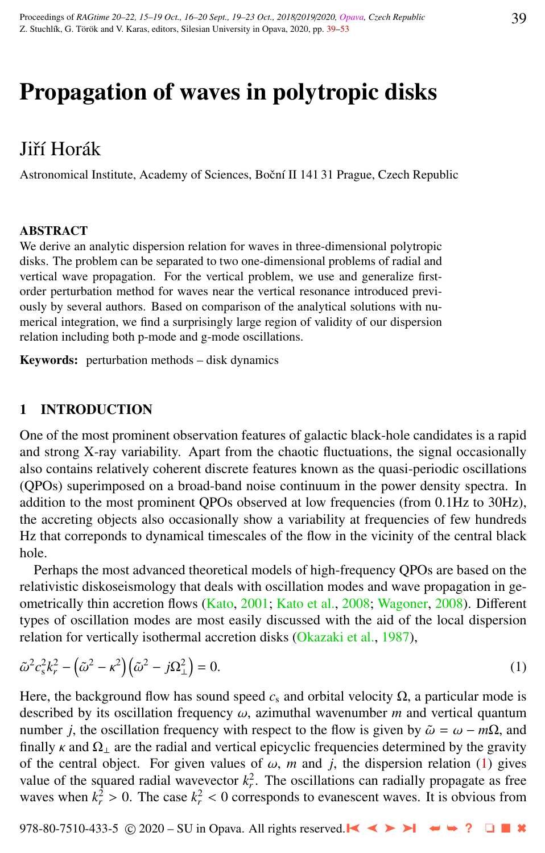# <span id="page-0-0"></span>Propagation of waves in polytropic disks

# Jiří Horák

Astronomical Institute, Academy of Sciences, Boční II 141 31 Prague, Czech Republic

#### ABSTRACT

We derive an analytic dispersion relation for waves in three-dimensional polytropic disks. The problem can be separated to two one-dimensional problems of radial and vertical wave propagation. For the vertical problem, we use and generalize firstorder perturbation method for waves near the vertical resonance introduced previously by several authors. Based on comparison of the analytical solutions with numerical integration, we find a surprisingly large region of validity of our dispersion relation including both p-mode and g-mode oscillations.

Keywords: perturbation methods – disk dynamics

## 1 INTRODUCTION

One of the most prominent observation features of galactic black-hole candidates is a rapid and strong X-ray variability. Apart from the chaotic fluctuations, the signal occasionally also contains relatively coherent discrete features known as the quasi-periodic oscillations (QPOs) superimposed on a broad-band noise continuum in the power density spectra. In addition to the most prominent QPOs observed at low frequencies (from 0.1Hz to 30Hz), the accreting objects also occasionally show a variability at frequencies of few hundreds Hz that correponds to dynamical timescales of the flow in the vicinity of the central black hole.

Perhaps the most advanced theoretical models of high-frequency QPOs are based on the relativistic diskoseismology that deals with oscillation modes and wave propagation in geometrically thin accretion flows [\(Kato,](#page-13-0) [2001;](#page-13-0) [Kato et al.,](#page-13-0) [2008;](#page-13-0) [Wagoner,](#page-14-0) [2008\)](#page-14-0). Different types of oscillation modes are most easily discussed with the aid of the local dispersion relation for vertically isothermal accretion disks [\(Okazaki et al.,](#page-13-0) [1987\)](#page-13-0),

$$
\tilde{\omega}^2 c_s^2 k_r^2 - \left(\tilde{\omega}^2 - \kappa^2\right) \left(\tilde{\omega}^2 - j\Omega_\perp^2\right) = 0. \tag{1}
$$

Here, the background flow has sound speed  $c_s$  and orbital velocity  $\Omega$ , a particular mode is described by its oscillation frequency  $\omega$ , azimuthal wavenumber  $m$  and vertical quantum number *j*, the oscillation frequency with respect to the flow is given by  $\tilde{\omega} = \omega - m\Omega$ , and finally  $\kappa$  and  $\Omega_{\perp}$  are the radial and vertical epicyclic frequencies determined by the gravity of the central object. For given values of  $\omega$ , *m* and *j*, the dispersion relation (1) gives value of the squared radial wavevector  $k_r^2$ . The oscillations can radially propagate as free waves when  $k_r^2 > 0$ . The case  $k_r^2 < 0$  corresponds to evanescent waves. It is obvious from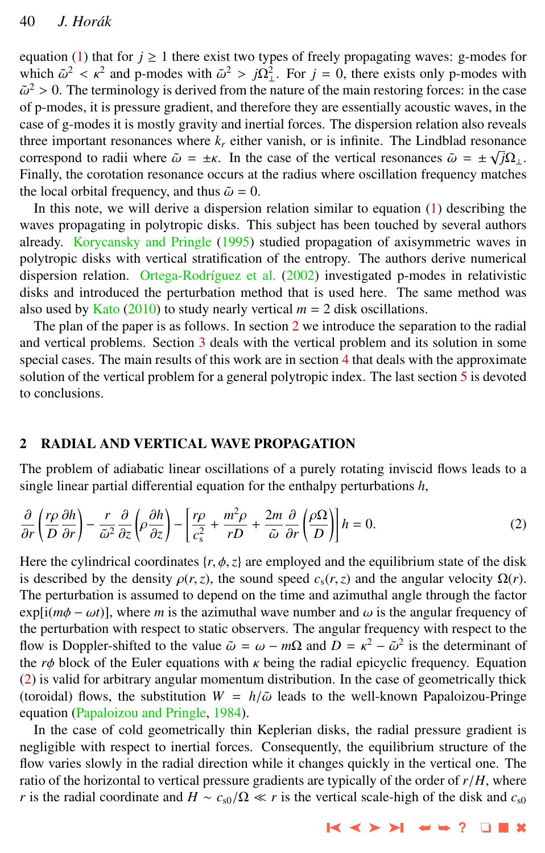<span id="page-1-0"></span>equation [\(1\)](#page-0-0) that for  $j \ge 1$  there exist two types of freely propagating waves: g-modes for which  $\tilde{\omega}^2 < \kappa^2$  and p-modes with  $\tilde{\omega}^2 > j\Omega_{\perp}^2$ . For  $j = 0$ , there exists only p-modes with  $\tilde{\omega}^2 > 0$ . The terminology is derived from the pature of the main restoring forces: in the case  $\tilde{\omega}^2 > 0$ . The terminology is derived from the nature of the main restoring forces: in the case<br>of n-modes, it is pressure gradient, and therefore they are essentially acoustic waves, in the of p-modes, it is pressure gradient, and therefore they are essentially acoustic waves, in the case of g-modes it is mostly gravity and inertial forces. The dispersion relation also reveals three important resonances where  $k_r$  either vanish, or is infinite. The Lindblad resonance correspond to radii where  $\tilde{\omega} = \pm \kappa$ . In the case of the vertical resonances  $\tilde{\omega} = \pm \sqrt{j} \Omega_{\perp}$ .<br>Finally the corotation resonance occurs at the radius where oscillation frequency matches Finally, the corotation resonance occurs at the radius where oscillation frequency matches the local orbital frequency, and thus  $\tilde{\omega} = 0$ .

In this note, we will derive a dispersion relation similar to equation [\(1\)](#page-0-0) describing the waves propagating in polytropic disks. This subject has been touched by several authors already. [Korycansky and Pringle](#page-13-0) [\(1995\)](#page-13-0) studied propagation of axisymmetric waves in polytropic disks with vertical stratification of the entropy. The authors derive numerical dispersion relation. Ortega-Rodríguez et al. [\(2002\)](#page-13-0) investigated p-modes in relativistic disks and introduced the perturbation method that is used here. The same method was also used by [Kato](#page-13-0) [\(2010\)](#page-13-0) to study nearly vertical  $m = 2$  disk oscillations.

The plan of the paper is as follows. In section 2 we introduce the separation to the radial and vertical problems. Section [3](#page-4-0) deals with the vertical problem and its solution in some special cases. The main results of this work are in section [4](#page-6-0) that deals with the approximate solution of the vertical problem for a general polytropic index. The last section  $\frac{5}{3}$  $\frac{5}{3}$  $\frac{5}{3}$  is devoted to conclusions.

#### 2 RADIAL AND VERTICAL WAVE PROPAGATION

The problem of adiabatic linear oscillations of a purely rotating inviscid flows leads to a single linear partial differential equation for the enthalpy perturbations *h*,

$$
\frac{\partial}{\partial r}\left(\frac{r\rho}{D}\frac{\partial h}{\partial r}\right) - \frac{r}{\tilde{\omega}^2}\frac{\partial}{\partial z}\left(\rho\frac{\partial h}{\partial z}\right) - \left[\frac{r\rho}{c_s^2} + \frac{m^2\rho}{rD} + \frac{2m}{\tilde{\omega}}\frac{\partial}{\partial r}\left(\frac{\rho\Omega}{D}\right)\right]h = 0.
$$
\n(2)

Here the cylindrical coordinates  $\{r, \phi, z\}$  are employed and the equilibrium state of the disk is described by the density  $\rho(r, z)$ , the sound speed  $c_s(r, z)$  and the angular velocity  $\Omega(r)$ . The perturbation is assumed to depend on the time and azimuthal angle through the factor  $exp[i(m\phi - \omega t)]$ , where *m* is the azimuthal wave number and  $\omega$  is the angular frequency of the perturbation with respect to static observers. The angular frequency with respect to the flow is Doppler-shifted to the value  $\tilde{\omega} = \omega - m\Omega$  and  $D = \kappa^2 - \tilde{\omega}^2$  is the determinant of the r<sub>φ</sub> block of the Fuler equations with  $\kappa$  being the radial enjoyclic frequency. Fourtion the  $r\phi$  block of the Euler equations with  $\kappa$  being the radial epicyclic frequency. Equation (2) is valid for arbitrary angular momentum distribution. In the case of geometrically thick (toroidal) flows, the substitution  $W = h/\tilde{\omega}$  leads to the well-known Papaloizou-Pringe equation [\(Papaloizou and Pringle,](#page-14-0) [1984\)](#page-14-0).

In the case of cold geometrically thin Keplerian disks, the radial pressure gradient is negligible with respect to inertial forces. Consequently, the equilibrium structure of the flow varies slowly in the radial direction while it changes quickly in the vertical one. The ratio of the horizontal to vertical pressure gradients are typically of the order of *<sup>r</sup>*/*H*, where *r* is the radial coordinate and  $H \sim c_{s0}/\Omega \ll r$  is the vertical scale-high of the disk and  $c_{s0}$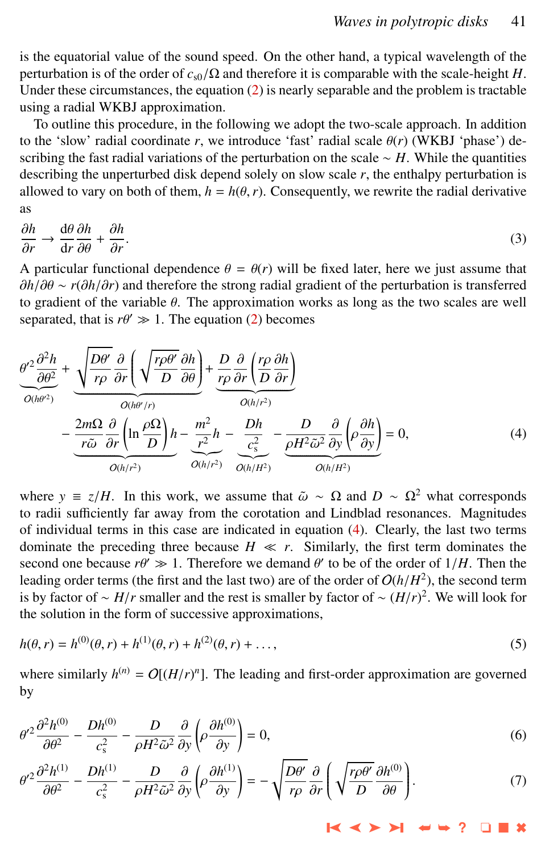<span id="page-2-0"></span>is the equatorial value of the sound speed. On the other hand, a typical wavelength of the perturbation is of the order of  $c_{s0}/\Omega$  and therefore it is comparable with the scale-height *H*. Under these circumstances, the equation  $(2)$  is nearly separable and the problem is tractable using a radial WKBJ approximation.

To outline this procedure, in the following we adopt the two-scale approach. In addition to the 'slow' radial coordinate  $r$ , we introduce 'fast' radial scale  $\theta(r)$  (WKBJ 'phase') describing the fast radial variations of the perturbation on the scale ∼ *H*. While the quantities describing the unperturbed disk depend solely on slow scale *r*, the enthalpy perturbation is allowed to vary on both of them,  $h = h(\theta, r)$ . Consequently, we rewrite the radial derivative as

$$
\frac{\partial h}{\partial r} \to \frac{d\theta}{dr} \frac{\partial h}{\partial \theta} + \frac{\partial h}{\partial r}.
$$
\n(3)

A particular functional dependence  $\theta = \theta(r)$  will be fixed later, here we just assume that  $\frac{\partial h}{\partial \theta} \sim r(\frac{\partial h}{\partial r})$  and therefore the strong radial gradient of the perturbation is transferred ∂*h*/∂θ <sup>∼</sup> *<sup>r</sup>*(∂*h*/∂*r*) and therefore the strong radial gradient of the perturbation is transferred to gradient of the variable  $\theta$ . The approximation works as long as the two scales are well separated, that is  $r\theta' \gg 1$ . The equation [\(2\)](#page-1-0) becomes

$$
\frac{\theta'^{2} \frac{\partial^{2} h}{\partial \theta^{2}}}{\theta^{(h\theta^{2})}} + \underbrace{\sqrt{\frac{D\theta'}{r\rho} \frac{\partial}{\partial r} \left( \sqrt{\frac{r\rho \theta'}{D} \frac{\partial h}{\partial \theta}} \right)}_{O(h\theta'/r)} + \underbrace{\frac{D}{r\rho} \frac{\partial}{\partial r} \left( \frac{r\rho}{D} \frac{\partial h}{\partial r} \right)}_{O(h/r^{2})} - \underbrace{\frac{2m\Omega}{r\tilde{\omega}} \frac{\partial}{\partial r} \left( \ln \frac{\rho \Omega}{D} \right) h}_{O(h/r^{2})} - \underbrace{\frac{m^{2}}{r^{2}} h}_{O(h/r^{2})} - \underbrace{\frac{Dh}{c_{s}^{2}}}_{O(h/r^{2})} - \underbrace{\frac{D}{\rho H^{2} \tilde{\omega}^{2}} \frac{\partial}{\partial y} \left( \rho \frac{\partial h}{\partial y} \right)}_{O(h/R^{2})} = 0, \tag{4}
$$

where  $y \equiv z/H$ . In this work, we assume that  $\tilde{\omega} \sim \Omega$  and  $D \sim \Omega^2$  what corresponds to radii sufficiently far away from the corotation and Lindblad resonances. Magnitudes of individual terms in this case are indicated in equation (4). Clearly, the last two terms dominate the preceding three because  $H \ll r$ . Similarly, the first term dominates the second one because  $r\theta' \gg 1$ . Therefore we demand  $\theta'$  to be of the order of  $1/H$ . Then the leading order terms (the first and the last two) are of the order of  $O(h/H^2)$ , the second term leading order terms (the first and the last two) are of the order of  $O(h/H^2)$ , the second term<br>is by factor of  $\sim H/r$  smaller and the rest is smaller by factor of  $\sim (H/r)^2$ . We will look for is by factor of ∼ *H*/*r* smaller and the rest is smaller by factor of ~  $(H/r)^2$ . We will look for the solution in the form of successive approximations the solution in the form of successive approximations,

$$
h(\theta, r) = h^{(0)}(\theta, r) + h^{(1)}(\theta, r) + h^{(2)}(\theta, r) + \dots,
$$
\n(5)

where similarly  $h^{(n)} = O[(H/r)^n]$ . The leading and first-order approximation are governed by

$$
\theta'^2 \frac{\partial^2 h^{(0)}}{\partial \theta^2} - \frac{D h^{(0)}}{c_s^2} - \frac{D}{\rho H^2 \tilde{\omega}^2} \frac{\partial}{\partial y} \left( \rho \frac{\partial h^{(0)}}{\partial y} \right) = 0,
$$
\n<sup>(6)</sup>

$$
\theta'^2 \frac{\partial^2 h^{(1)}}{\partial \theta^2} - \frac{D h^{(1)}}{c_s^2} - \frac{D}{\rho H^2 \tilde{\omega}^2} \frac{\partial}{\partial y} \left( \rho \frac{\partial h^{(1)}}{\partial y} \right) = -\sqrt{\frac{D \theta'}{r \rho}} \frac{\partial}{\partial r} \left( \sqrt{\frac{r \rho \theta'}{D}} \frac{\partial h^{(0)}}{\partial \theta} \right). \tag{7}
$$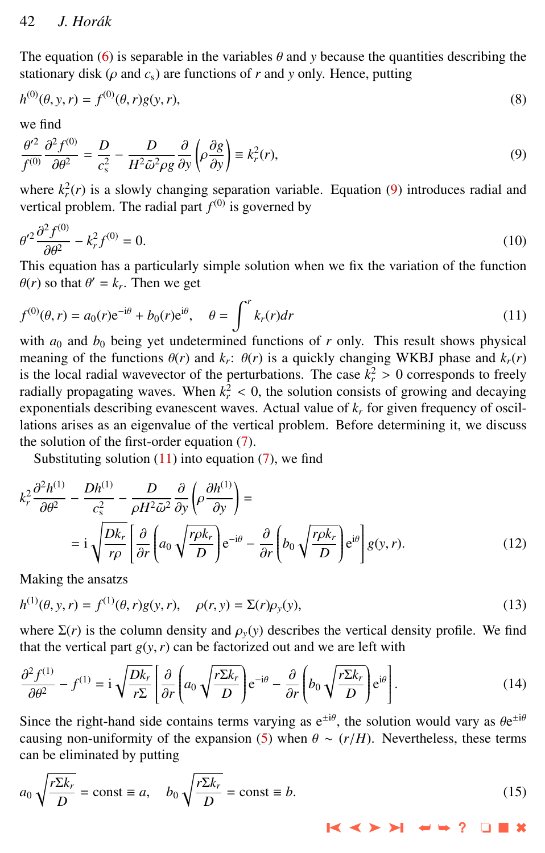<span id="page-3-0"></span>The equation [\(6\)](#page-2-0) is separable in the variables  $\theta$  and  $y$  because the quantities describing the stationary disk ( $\rho$  and  $c_s$ ) are functions of  $r$  and  $y$  only. Hence, putting

$$
h^{(0)}(\theta, y, r) = f^{(0)}(\theta, r)g(y, r),
$$
\n(8)

we find

$$
\frac{\theta'^2}{f^{(0)}}\frac{\partial^2 f^{(0)}}{\partial \theta^2} = \frac{D}{c_s^2} - \frac{D}{H^2 \tilde{\omega}^2 \rho g} \frac{\partial}{\partial y} \left( \rho \frac{\partial g}{\partial y} \right) \equiv k_r^2(r),\tag{9}
$$

where  $k_r^2(r)$  is a slowly changing separation variable. Equation (9) introduces radial and vertical problem. The radial part  $f^{(0)}$  is governed by

$$
\theta'^2 \frac{\partial^2 f^{(0)}}{\partial \theta^2} - k_r^2 f^{(0)} = 0.
$$
\nThis equation has a particularly simple solution when we fix the variation of the function

 $\theta(r)$  so that  $\theta' = k_r$ . Then we get

$$
f^{(0)}(\theta, r) = a_0(r)e^{-i\theta} + b_0(r)e^{i\theta}, \quad \theta = \int^r k_r(r)dr
$$
 (11)

with  $a_0$  and  $b_0$  being yet undetermined functions of  $r$  only. This result shows physical meaning of the functions  $\theta(r)$  and  $k_r$ :  $\theta(r)$  is a quickly changing WKBJ phase and  $k_r(r)$ <br>is the local radial wavevector of the perturbations. The case  $k^2 > 0$  corresponds to freely is the local radial wavevector of the perturbations. The case  $k_r^2 > 0$  corresponds to freely radially propagating waves. When  $k^2 < 0$  the solution consists of growing and decaying radially propagating waves. When  $k_r^2 < 0$ , the solution consists of growing and decaying<br>exponentials describing exapscent waves. Actual value of k, for given frequency of oscilexponentials describing evanescent waves. Actual value of *k<sup>r</sup>* for given frequency of oscillations arises as an eigenvalue of the vertical problem. Before determining it, we discuss the solution of the first-order equation [\(7\)](#page-2-0).

Substituting solution  $(11)$  into equation  $(7)$ , we find

$$
k_r^2 \frac{\partial^2 h^{(1)}}{\partial \theta^2} - \frac{D h^{(1)}}{c_s^2} - \frac{D}{\rho H^2 \tilde{\omega}^2} \frac{\partial}{\partial y} \left( \rho \frac{\partial h^{(1)}}{\partial y} \right) =
$$
  
= 
$$
i \sqrt{\frac{D k_r}{r \rho}} \left[ \frac{\partial}{\partial r} \left( a_0 \sqrt{\frac{r \rho k_r}{D}} \right) e^{-i\theta} - \frac{\partial}{\partial r} \left( b_0 \sqrt{\frac{r \rho k_r}{D}} \right) e^{i\theta} \right] g(y, r).
$$
 (12)

Making the ansatzs

$$
h^{(1)}(\theta, y, r) = f^{(1)}(\theta, r)g(y, r), \quad \rho(r, y) = \Sigma(r)\rho_y(y),
$$
\n(13)

where  $\Sigma(r)$  is the column density and  $\rho_y(y)$  describes the vertical density profile. We find that the vertical part  $g(y, r)$  can be factorized out and we are left with

$$
\frac{\partial^2 f^{(1)}}{\partial \theta^2} - f^{(1)} = \mathbf{i} \sqrt{\frac{Dk_r}{r\Sigma}} \left[ \frac{\partial}{\partial r} \left( a_0 \sqrt{\frac{r\Sigma k_r}{D}} \right) e^{-i\theta} - \frac{\partial}{\partial r} \left( b_0 \sqrt{\frac{r\Sigma k_r}{D}} \right) e^{i\theta} \right].
$$
 (14)

Since the right-hand side contains terms varying as  $e^{\pm i\theta}$ , the solution would vary as  $\theta e^{\pm i\theta}$ <br>causing non-uniformity of the expansion (5) when  $\theta \propto (r/H)$ . Nevertheless, these terms causing non-uniformity of the expansion [\(5\)](#page-2-0) when  $\theta \sim (r/H)$ . Nevertheless, these terms can be eliminated by putting

$$
a_0 \sqrt{\frac{r \Sigma k_r}{D}} = \text{const} \equiv a, \quad b_0 \sqrt{\frac{r \Sigma k_r}{D}} = \text{const} \equiv b. \tag{15}
$$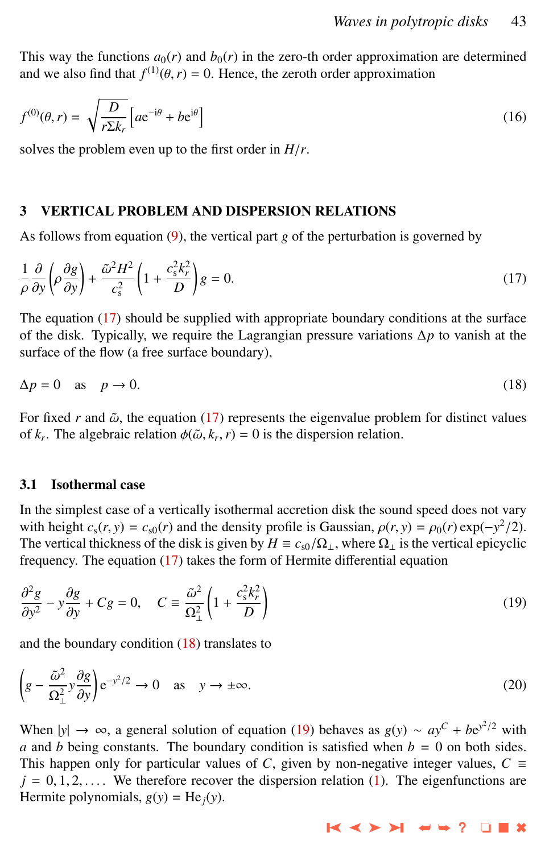<span id="page-4-0"></span>This way the functions  $a_0(r)$  and  $b_0(r)$  in the zero-th order approximation are determined and we also find that  $f^{(1)}(\theta, r) = 0$ . Hence, the zeroth order approximation

$$
f^{(0)}(\theta, r) = \sqrt{\frac{D}{r \Sigma k_r}} \left[ a e^{-i\theta} + b e^{i\theta} \right]
$$
 (16)

solves the problem even up to the first order in *<sup>H</sup>*/*r*.

#### 3 VERTICAL PROBLEM AND DISPERSION RELATIONS

As follows from equation [\(9\)](#page-3-0), the vertical part *g* of the perturbation is governed by

$$
\frac{1}{\rho} \frac{\partial}{\partial y} \left( \rho \frac{\partial g}{\partial y} \right) + \frac{\tilde{\omega}^2 H^2}{c_s^2} \left( 1 + \frac{c_s^2 k_r^2}{D} \right) g = 0. \tag{17}
$$

The equation (17) should be supplied with appropriate boundary conditions at the surface of the disk. Typically, we require the Lagrangian pressure variations ∆*p* to vanish at the surface of the flow (a free surface boundary),

$$
\Delta p = 0 \quad \text{as} \quad p \to 0. \tag{18}
$$

For fixed  $r$  and  $\tilde{\omega}$ , the equation (17) represents the eigenvalue problem for distinct values of  $k_r$ . The algebraic relation  $\phi(\tilde{\omega}, k_r, r) = 0$  is the dispersion relation.

#### 3.1 Isothermal case

In the simplest case of a vertically isothermal accretion disk the sound speed does not vary with height  $c_s(r, y) = c_{s0}(r)$  and the density profile is Gaussian,  $\rho(r, y) = \rho_0(r) \exp(-y^2/2)$ .<br>The vertical thickness of the disk is given by  $H = c_s/Q$ , where Q, is the vertical enjoyclic The vertical thickness of the disk is given by  $H \equiv c_{s0}/\Omega_1$ , where  $\Omega_1$  is the vertical epicyclic frequency. The equation (17) takes the form of Hermite differential equation

$$
\frac{\partial^2 g}{\partial y^2} - y \frac{\partial g}{\partial y} + Cg = 0, \quad C \equiv \frac{\tilde{\omega}^2}{\Omega_\perp^2} \left( 1 + \frac{c_s^2 k_r^2}{D} \right)
$$
(19)

and the boundary condition  $(18)$  translates to

$$
\left(g - \frac{\tilde{\omega}^2}{\Omega_{\perp}^2} y \frac{\partial g}{\partial y}\right) e^{-y^2/2} \to 0 \quad \text{as} \quad y \to \pm \infty.
$$
 (20)

When  $|y| \to \infty$ , a general solution of equation (19) behaves as  $g(y) \sim ay^C + be^{y^2/2}$  with *a* and *b* being constants. The boundary condition is satisfied when  $b = 0$  on both sides. This happen only for particular values of *C*, given by non-negative integer values,  $C \equiv$  $j = 0, 1, 2, \ldots$  We therefore recover the dispersion relation [\(1\)](#page-0-0). The eigenfunctions are Hermite polynomials,  $g(y) = He_i(y)$ .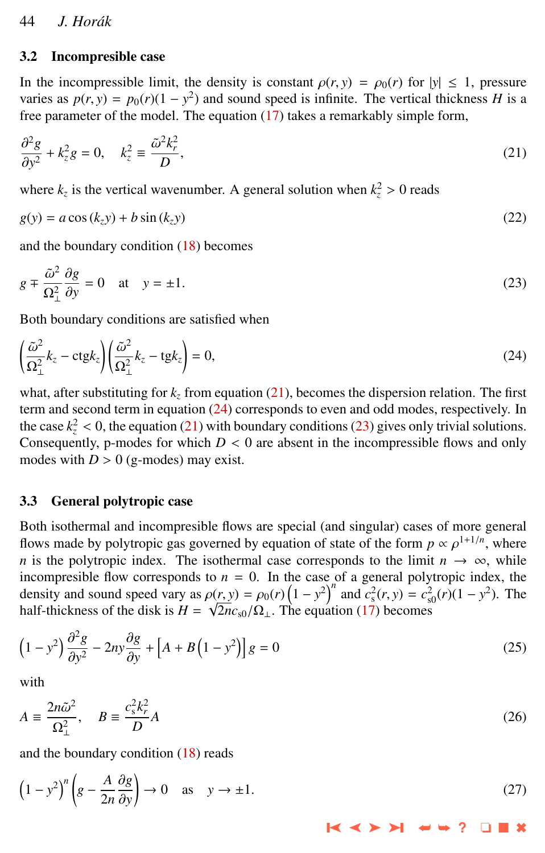#### <span id="page-5-0"></span>3.2 Incompresible case

In the incompressible limit, the density is constant  $\rho(r, y) = \rho_0(r)$  for  $|y| \le 1$ , pressure varies as  $p(r, y) = p_0(r)(1 - y^2)$  and sound speed is infinite. The vertical thickness *H* is a free parameter of the model. The equation (17) takes a remarkably simple form free parameter of the model. The equation [\(17\)](#page-4-0) takes a remarkably simple form,

$$
\frac{\partial^2 g}{\partial y^2} + k_z^2 g = 0, \quad k_z^2 \equiv \frac{\tilde{\omega}^2 k_r^2}{D},\tag{21}
$$

where  $k_z$  is the vertical wavenumber. A general solution when  $k_z^2 > 0$  reads

$$
g(y) = a\cos\left(k_z y\right) + b\sin\left(k_z y\right) \tag{22}
$$

and the boundary condition [\(18\)](#page-4-0) becomes

$$
g \mp \frac{\tilde{\omega}^2}{\Omega_{\perp}^2} \frac{\partial g}{\partial y} = 0 \quad \text{at} \quad y = \pm 1. \tag{23}
$$

Both boundary conditions are satisfied when

$$
\left(\frac{\tilde{\omega}^2}{\Omega_{\perp}^2}k_z - \text{ctg}k_z\right)\left(\frac{\tilde{\omega}^2}{\Omega_{\perp}^2}k_z - \text{tg}k_z\right) = 0,\tag{24}
$$

what, after substituting for  $k_z$  from equation (21), becomes the dispersion relation. The first term and second term in equation (24) corresponds to even and odd modes, respectively. In the case  $k_z^2$  < 0, the equation (21) with boundary conditions (23) gives only trivial solutions.<br>Consequently, p-modes for which  $D < 0$  are absent in the incompressible flows and only Consequently, p-modes for which  $D < 0$  are absent in the incompressible flows and only modes with  $D > 0$  (g-modes) may exist.

## 3.3 General polytropic case

Both isothermal and incompresible flows are special (and singular) cases of more general flows made by polytropic gas governed by equation of state of the form  $p \propto \rho^{1+1/n}$ , where *n* is the polytropic index. The isothermal case corresponds to the limit  $n \to \infty$ , while incompresible flow corresponds to  $n = 0$ . In the case of a general polytropic index, the density and sound speed vary as  $\rho(r, y) = \rho_0(r) \left(1 - y^2\right)^n$  and  $c_s^2(r, y) = c_{s0}^2(r) \left(1 - y^2\right)$ . The half-thickness of the disk is  $H = \sqrt{2\pi}c_s(0)$ . The equation (17) becomes half-thickness of the disk is *H* = √  $2nc<sub>s0</sub>/\Omega_{\perp}$ . The equation [\(17\)](#page-4-0) becomes

$$
\left(1 - y^2\right) \frac{\partial^2 g}{\partial y^2} - 2ny \frac{\partial g}{\partial y} + \left[A + B\left(1 - y^2\right)\right]g = 0\tag{25}
$$

with

$$
A \equiv \frac{2n\tilde{\omega}^2}{\Omega_\perp^2}, \quad B \equiv \frac{c_s^2 k_r^2}{D} A \tag{26}
$$

and the boundary condition [\(18\)](#page-4-0) reads

$$
\left(1 - y^2\right)^n \left(g - \frac{A}{2n} \frac{\partial g}{\partial y}\right) \to 0 \quad \text{as} \quad y \to \pm 1. \tag{27}
$$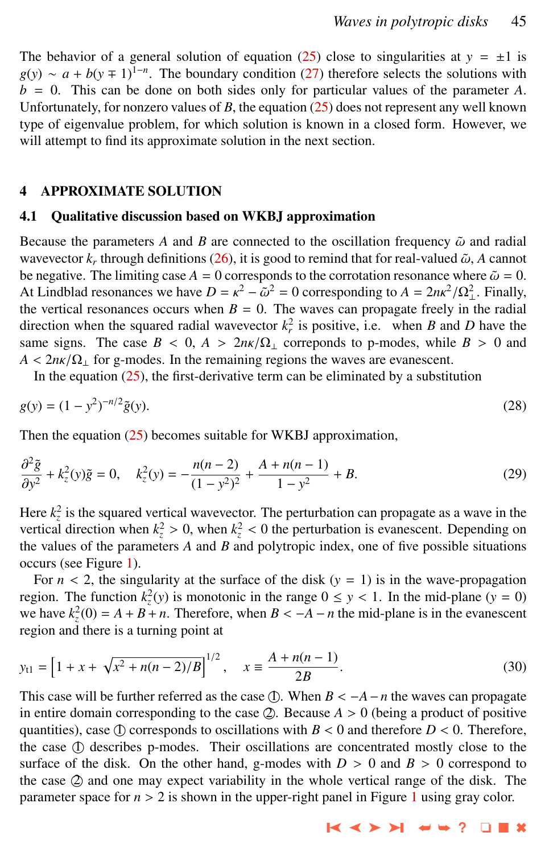<span id="page-6-0"></span>The behavior of a general solution of equation [\(25\)](#page-5-0) close to singularities at  $y = \pm 1$  is  $g(y) \sim a + b(y+1)^{1-n}$ . The boundary condition [\(27\)](#page-5-0) therefore selects the solutions with  $b = 0$ . This can be done on both sides only for particular values of the parameter *A*. Unfortunately, for nonzero values of  $B$ , the equation  $(25)$  does not represent any well known type of eigenvalue problem, for which solution is known in a closed form. However, we will attempt to find its approximate solution in the next section.

#### 4 APPROXIMATE SOLUTION

#### 4.1 Qualitative discussion based on WKBJ approximation

Because the parameters A and B are connected to the oscillation frequency  $\tilde{\omega}$  and radial wavevector  $k_r$  through definitions [\(26\)](#page-5-0), it is good to remind that for real-valued  $\tilde{\omega}$ , *A* cannot be negative. The limiting case  $A = 0$  corresponds to the corrotation resonance where  $\tilde{\omega} = 0$ . be negative. The limiting case  $A = 0$  corresponds to the corrotation resonance where  $\tilde{\omega} = 0$ . At Lindblad resonances we have  $D = \kappa^2 - \tilde{\omega}^2 = 0$  corresponding to  $A = 2n\kappa^2/\Omega_{\perp}^2$ . Finally, the vertical resonances occurs when  $B = 0$ . The waves can propagate freely in the radial  $2 - \tilde{\omega}^2 = 0$  corresponding to  $A = 2n\kappa^2/\Omega_{\perp}^2$ . Finally,<br>- 0. The waves can propagate freely in the radial direction when the squared radial wavevector  $k_r^2$  is positive, i.e. when *B* and *D* have the same signs. The case  $B < 0$ ,  $A > 2n\kappa/\Omega_{\perp}$  correponds to p-modes, while  $B > 0$  and  $A < 2n\kappa/\Omega_1$  for g-modes. In the remaining regions the waves are evanescent.

In the equation  $(25)$ , the first-derivative term can be eliminated by a substitution

$$
g(y) = (1 - y^2)^{-n/2} \tilde{g}(y).
$$
 (28)

Then the equation  $(25)$  becomes suitable for WKBJ approximation,

$$
\frac{\partial^2 \tilde{g}}{\partial y^2} + k_z^2(y)\tilde{g} = 0, \quad k_z^2(y) = -\frac{n(n-2)}{(1-y^2)^2} + \frac{A + n(n-1)}{1-y^2} + B.
$$
\n(29)

Here  $k_z^2$  is the squared vertical wavevector. The perturbation can propagate as a wave in the vertical direction when  $k_z^2 > 0$ , when  $k_z^2 < 0$  the perturbation is evanescent. Depending on the values of the parameters A and B and polytronic index, one of five possible situations the values of the parameters *A* and *B* and polytropic index, one of five possible situations occurs (see Figure [1\)](#page-7-0).

For  $n < 2$ , the singularity at the surface of the disk  $(y = 1)$  is in the wave-propagation region. The function  $k_z^2(y)$  is monotonic in the range  $0 \le y < 1$ . In the mid-plane  $(y = 0)$ <br>we have  $k^2(0) = 4 + B + n$ . Therefore, when  $B < -4 - n$  the mid-plane is in the evanescent we have  $k_z^2(0) = A + B + n$ . Therefore, when  $B < -A - n$  the mid-plane is in the evanescent region and there is a turning point at

$$
y_{t1} = \left[1 + x + \sqrt{x^2 + n(n-2)/B}\right]^{1/2}, \quad x \equiv \frac{A + n(n-1)}{2B}.
$$
 (30)

This case will be further referred as the case  $\oplus$ . When  $B < -A - n$  the waves can propagate in entire domain corresponding to the case  $Q$ . Because  $A > 0$  (being a product of positive quantities), case  $\circled{1}$  corresponds to oscillations with  $B < 0$  and therefore  $D < 0$ . Therefore, the case ① describes p-modes. Their oscillations are concentrated mostly close to the surface of the disk. On the other hand, g-modes with  $D > 0$  and  $B > 0$  correspond to the case  $Q$  and one may expect variability in the whole vertical range of the disk. The parameter space for  $n > 2$  is shown in the upper-right panel in Figure [1](#page-7-0) using gray color.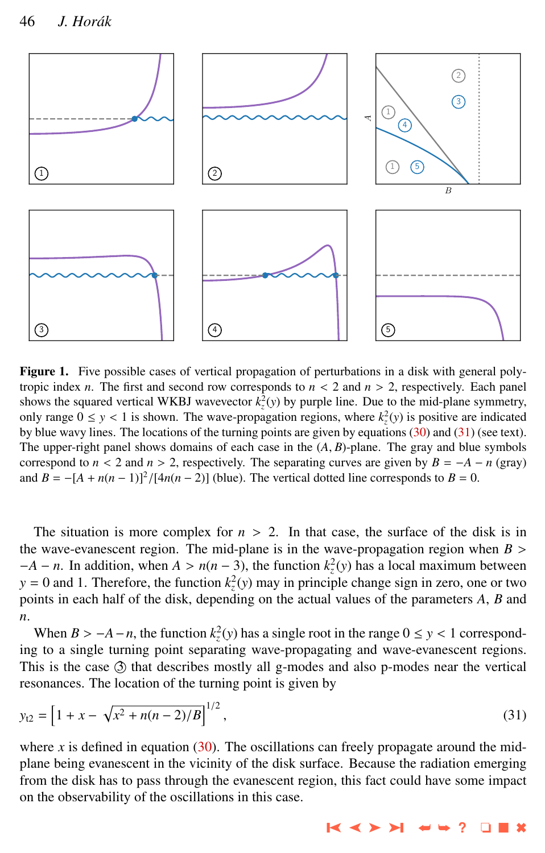<span id="page-7-0"></span>

Figure 1. Five possible cases of vertical propagation of perturbations in a disk with general polytropic index *n*. The first and second row corresponds to  $n < 2$  and  $n > 2$ , respectively. Each panel shows the squared vertical WKBJ wavevector  $k_z^2(y)$  by purple line. Due to the mid-plane symmetry, only range  $0 \le y < 1$  is shown. The wave-propagation regions, where  $k_z^2(y)$  is positive are indicated by hue ways lines. The locations of the turning points are given by equations (30) and (31) (see text) by blue wavy lines. The locations of the turning points are given by equations [\(30\)](#page-6-0) and (31) (see text). The upper-right panel shows domains of each case in the  $(A, B)$ -plane. The gray and blue symbols correspond to  $n < 2$  and  $n > 2$ , respectively. The separating curves are given by  $B = -A - n$  (gray) and  $B = -[A + n(n-1)]^2/[4n(n-2)]$  (blue). The vertical dotted line corresponds to  $B = 0$ .

The situation is more complex for  $n > 2$ . In that case, the surface of the disk is in the wave-evanescent region. The mid-plane is in the wave-propagation region when  $B >$  $-A - n$ . In addition, when  $A > n(n-3)$ , the function  $k_z^2(y)$  has a local maximum between  $y = 0$  and 1. Therefore, the function  $k_z^2(y)$  may in principle change sign in zero, one or two  $y = 0$  and 1. Therefore, the function  $k_z^2(y)$  may in principle change sign in zero, one or two points in each half of the disk, depending on the actual values of the parameters *A*, *B* and *n*.

When  $B > -A - n$ , the function  $k_z^2(y)$  has a single root in the range  $0 \le y < 1$  correspond-<br>*x* to a single turning point separating wave-propagating and wave-evapescent regions ing to a single turning point separating wave-propagating and wave-evanescent regions. This is the case  $\circled{3}$  that describes mostly all g-modes and also p-modes near the vertical resonances. The location of the turning point is given by

$$
y_{t2} = \left[1 + x - \sqrt{x^2 + n(n-2)/B}\right]^{1/2},\tag{31}
$$

where  $x$  is defined in equation  $(30)$ . The oscillations can freely propagate around the midplane being evanescent in the vicinity of the disk surface. Because the radiation emerging from the disk has to pass through the evanescent region, this fact could have some impact on the observability of the oscillations in this case.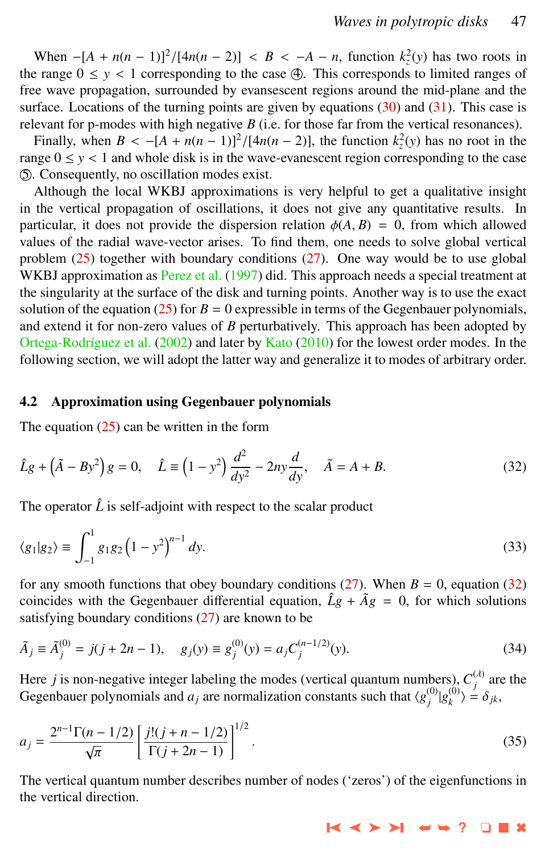<span id="page-8-0"></span>When  $-[A + n(n-1)]^2/[4n(n-2)] < B < -A - n$ , function  $k_z^2(y)$  has two roots in the range  $0 \le y < 1$  corresponding to the case  $\bigoplus$ . This corresponds to limited ranges of free wave propagation, surrounded by evansescent regions around the mid-plane and the surface. Locations of the turning points are given by equations  $(30)$  and  $(31)$ . This case is relevant for p-modes with high negative *B* (i.e. for those far from the vertical resonances).

Finally, when  $B < -[A + n(n-1)]^2/[4n(n-2)]$ , the function  $k_z^2(y)$  has no root in the case range  $0 \le y < 1$  and whole disk is in the wave-evanescent region corresponding to the case O5 . Consequently, no oscillation modes exist.

Although the local WKBJ approximations is very helpful to get a qualitative insight in the vertical propagation of oscillations, it does not give any quantitative results. In particular, it does not provide the dispersion relation  $\phi(A, B) = 0$ , from which allowed values of the radial wave-vector arises. To find them, one needs to solve global vertical problem  $(25)$  together with boundary conditions  $(27)$ . One way would be to use global WKBJ approximation as [Perez et al.](#page-14-0) [\(1997\)](#page-14-0) did. This approach needs a special treatment at the singularity at the surface of the disk and turning points. Another way is to use the exact solution of the equation [\(25\)](#page-5-0) for  $B = 0$  expressible in terms of the Gegenbauer polynomials, and extend it for non-zero values of *B* perturbatively. This approach has been adopted by Ortega-Rodríguez et al. [\(2002\)](#page-13-0) and later by [Kato](#page-13-0) [\(2010\)](#page-13-0) for the lowest order modes. In the following section, we will adopt the latter way and generalize it to modes of arbitrary order.

#### 4.2 Approximation using Gegenbauer polynomials

The equation  $(25)$  can be written in the form

$$
\hat{L}g + (\tilde{A} - By^2)g = 0, \quad \hat{L} \equiv (1 - y^2)\frac{d^2}{dy^2} - 2ny\frac{d}{dy}, \quad \tilde{A} = A + B.
$$
\n(32)

The operator  $\hat{L}$  is self-adjoint with respect to the scalar product

$$
\langle g_1 | g_2 \rangle \equiv \int_{-1}^{1} g_1 g_2 \left( 1 - y^2 \right)^{n-1} dy. \tag{33}
$$

for any smooth functions that obey boundary conditions  $(27)$ . When  $B = 0$ , equation  $(32)$ coincides with the Gegenbauer differential equation,  $\hat{L}g + \tilde{A}g = 0$ , for which solutions satisfying boundary conditions [\(27\)](#page-5-0) are known to be

$$
\tilde{A}_j \equiv \tilde{A}_j^{(0)} = j(j + 2n - 1), \quad g_j(y) \equiv g_j^{(0)}(y) = a_j C_j^{(n-1/2)}(y). \tag{34}
$$

Here *j* is non-negative integer labeling the modes (vertical quantum numbers),  $C_j^{(\lambda)}$  are the Gegenbauer polynomials and  $a_j$  are normalization constants such that  $\langle g_j^{(0)} | g_k^{(0)} \rangle$  $\begin{aligned} \binom{0}{k} &\geq \delta_{jk}, \end{aligned}$ 

$$
a_j = \frac{2^{n-1}\Gamma(n-1/2)}{\sqrt{\pi}} \left[ \frac{j!(j+n-1/2)}{\Gamma(j+2n-1)} \right]^{1/2}.
$$
 (35)

The vertical quantum number describes number of nodes ('zeros') of the eigenfunctions in the vertical direction.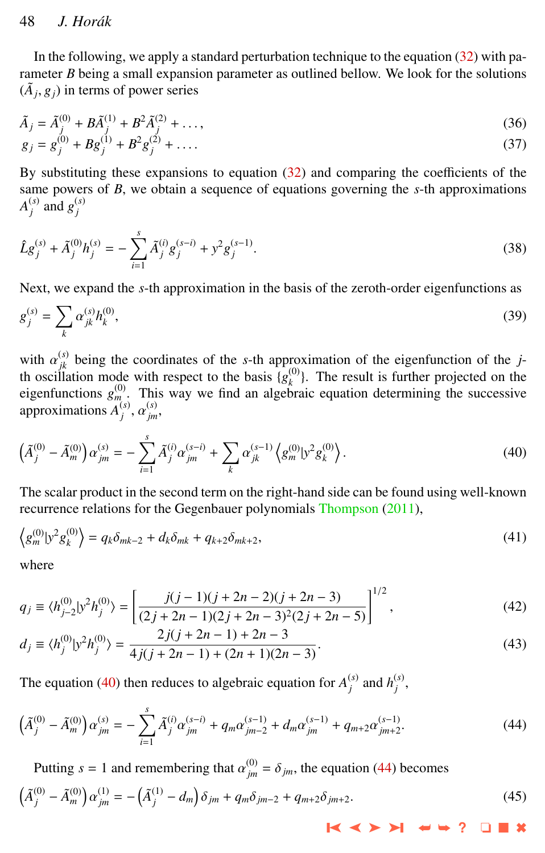# <span id="page-9-0"></span>48 *J. Hor ´ak*

In the following, we apply a standard perturbation technique to the equation  $(32)$  with parameter *B* being a small expansion parameter as outlined bellow. We look for the solutions  $(\tilde{A}_j, g_j)$  in terms of power series

$$
\tilde{A}_{j} = \tilde{A}_{j}^{(0)} + B\tilde{A}_{j}^{(1)} + B^{2}\tilde{A}_{j}^{(2)} + ..., \ng_{j} = g_{j}^{(0)} + Bg_{j}^{(1)} + B^{2}g_{j}^{(2)} + ....
$$
\n(36)

By substituting these expansions to equation [\(32\)](#page-8-0) and comparing the coefficients of the same powers of *B*, we obtain a sequence of equations governing the *s*-th approximations *A*<sup>(*s*)</sup></sup> $'$  and  $g_j^{(s)}$ 

$$
\hat{L}g_j^{(s)} + \tilde{A}_j^{(0)}h_j^{(s)} = -\sum_{i=1}^s \tilde{A}_j^{(i)}g_j^{(s-i)} + y^2g_j^{(s-1)}.
$$
\n(38)

Next, we expand the *s*-th approximation in the basis of the zeroth-order eigenfunctions as

$$
g_j^{(s)} = \sum_k \alpha_{jk}^{(s)} h_k^{(0)},\tag{39}
$$

with  $\alpha_{jk}^{(s)}$  being the coordinates of the *s*-th approximation of the eigenfunction of the *j*-th oscillation mode with respect to the basis  $I\alpha^{(0)}$ . The result is further projected on the th oscillation mode with respect to the basis  ${g<sub>k</sub>^{(0)}}$ . The result is further projected on the eigenfunctions  $g_{m}^{(0)}$ . This way we find an algebraic equation determining the successive approximations  $A_j^{(s)}$ ,  $\alpha_{jm}^{(s)}$ ,

$$
\left(\tilde{A}_{j}^{(0)} - \tilde{A}_{m}^{(0)}\right)\alpha_{jm}^{(s)} = -\sum_{i=1}^{s} \tilde{A}_{j}^{(i)}\alpha_{jm}^{(s-i)} + \sum_{k} \alpha_{jk}^{(s-1)}\left\langle g_{m}^{(0)} | y^{2} g_{k}^{(0)} \right\rangle. \tag{40}
$$

The scalar product in the second term on the right-hand side can be found using well-known recurrence relations for the Gegenbauer polynomials [Thompson](#page-14-0) [\(2011\)](#page-14-0),

$$
\left\langle g_m^{(0)} \psi^2 g_k^{(0)} \right\rangle = q_k \delta_{mk-2} + d_k \delta_{mk} + q_{k+2} \delta_{mk+2},\tag{41}
$$

where

$$
q_j \equiv \langle h_{j-2}^{(0)} | y^2 h_j^{(0)} \rangle = \left[ \frac{j(j-1)(j+2n-2)(j+2n-3)}{(2j+2n-1)(2j+2n-3)^2(2j+2n-5)} \right]^{1/2},\tag{42}
$$

$$
d_j \equiv \langle h_j^{(0)} | y^2 h_j^{(0)} \rangle = \frac{2j(j+2n-1) + 2n - 3}{4j(j+2n-1) + (2n+1)(2n-3)}.
$$
\n(43)

The equation (40) then reduces to algebraic equation for  $A_j^{(s)}$  and  $h_j^{(s)}$ ,

$$
\left(\tilde{A}_{j}^{(0)} - \tilde{A}_{m}^{(0)}\right)\alpha_{jm}^{(s)} = -\sum_{i=1}^{s} \tilde{A}_{j}^{(i)}\alpha_{jm}^{(s-i)} + q_{m}\alpha_{jm-2}^{(s-1)} + d_{m}\alpha_{jm}^{(s-1)} + q_{m+2}\alpha_{jm+2}^{(s-1)}.
$$
\n(44)

Putting  $s = 1$  and remembering that  $\alpha_{jm}^{(0)} = \delta_{jm}$ , the equation (44) becomes

$$
\left(\tilde{A}_{j}^{(0)} - \tilde{A}_{m}^{(0)}\right)\alpha_{jm}^{(1)} = -\left(\tilde{A}_{j}^{(1)} - d_{m}\right)\delta_{jm} + q_{m}\delta_{jm-2} + q_{m+2}\delta_{jm+2}.
$$
\n(45)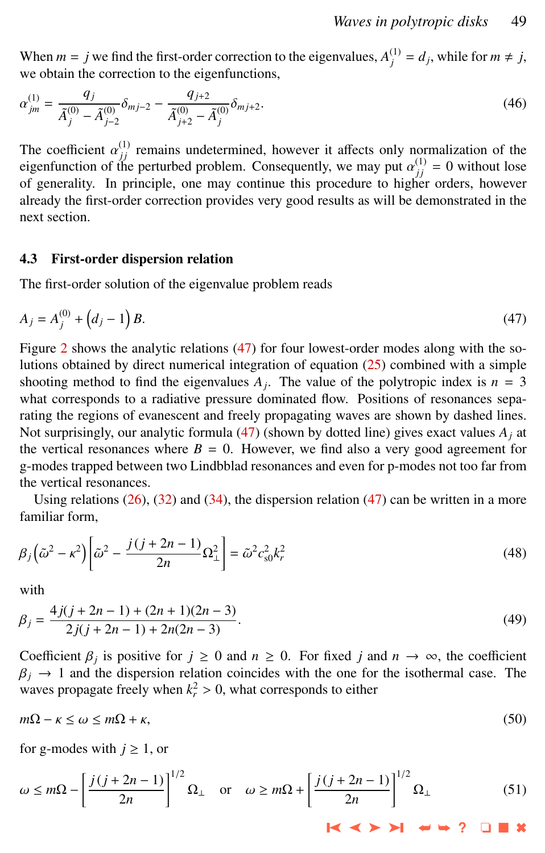<span id="page-10-0"></span>When  $m = j$  we find the first-order correction to the eigenvalues,  $A_j^{(1)} = d_j$ , while for  $m \neq j$ , we obtain the correction to the eigenfunctions,

$$
\alpha_{jm}^{(1)} = \frac{q_j}{\tilde{A}_j^{(0)} - \tilde{A}_{j-2}^{(0)}} \delta_{mj-2} - \frac{q_{j+2}}{\tilde{A}_{j+2}^{(0)} - \tilde{A}_j^{(0)}} \delta_{mj+2}.
$$
\n(46)

The coefficient  $\alpha_{jj}^{(1)}$  remains undetermined, however it affects only normalization of the perturbed problem. Consequently we may put  $\alpha_{j}^{(1)} = 0$  without lose eigenfunction of the perturbed problem. Consequently, we may put  $\alpha_{jj}^{(1)} = 0$  without lose of generality. In principle, one may continue this procedure to higher orders, however of generality. In principle, one may continue this procedure to higher orders, however already the first-order correction provides very good results as will be demonstrated in the next section.

#### 4.3 First-order dispersion relation

The first-order solution of the eigenvalue problem reads

$$
A_j = A_j^{(0)} + (d_j - 1)B.
$$
 (47)

Figure [2](#page-11-0) shows the analytic relations (47) for four lowest-order modes along with the solutions obtained by direct numerical integration of equation [\(25\)](#page-5-0) combined with a simple shooting method to find the eigenvalues  $A_j$ . The value of the polytropic index is  $n = 3$ what corresponds to a radiative pressure dominated flow. Positions of resonances separating the regions of evanescent and freely propagating waves are shown by dashed lines. Not surprisingly, our analytic formula  $(47)$  (shown by dotted line) gives exact values  $A_i$  at the vertical resonances where  $B = 0$ . However, we find also a very good agreement for g-modes trapped between two Lindbblad resonances and even for p-modes not too far from the vertical resonances.

Using relations  $(26)$ ,  $(32)$  and  $(34)$ , the dispersion relation  $(47)$  can be written in a more familiar form,

$$
\beta_j\left(\tilde{\omega}^2 - \kappa^2\right)\left[\tilde{\omega}^2 - \frac{j(j+2n-1)}{2n}\Omega_\perp^2\right] = \tilde{\omega}^2 c_{s0}^2 k_r^2\tag{48}
$$

with

$$
\beta_j = \frac{4j(j+2n-1) + (2n+1)(2n-3)}{2j(j+2n-1) + 2n(2n-3)}.
$$
\n(49)

Coefficient  $\beta_j$  is positive for  $j \ge 0$  and  $n \ge 0$ . For fixed *j* and  $n \to \infty$ , the coefficient  $\beta_j \to 1$  and the dispersion relation coincides with the one for the isothermal case. The  $\beta_j \rightarrow 1$  and the dispersion relation coincides with the one for the isothermal case. The waves propagate freely when  $k_r^2 > 0$ , what corresponds to either

$$
m\Omega - \kappa \le \omega \le m\Omega + \kappa,\tag{50}
$$

for g-modes with  $j \ge 1$ , or

$$
\omega \le m\Omega - \left[\frac{j(j+2n-1)}{2n}\right]^{1/2} \Omega_{\perp} \quad \text{or} \quad \omega \ge m\Omega + \left[\frac{j(j+2n-1)}{2n}\right]^{1/2} \Omega_{\perp}
$$
 (51)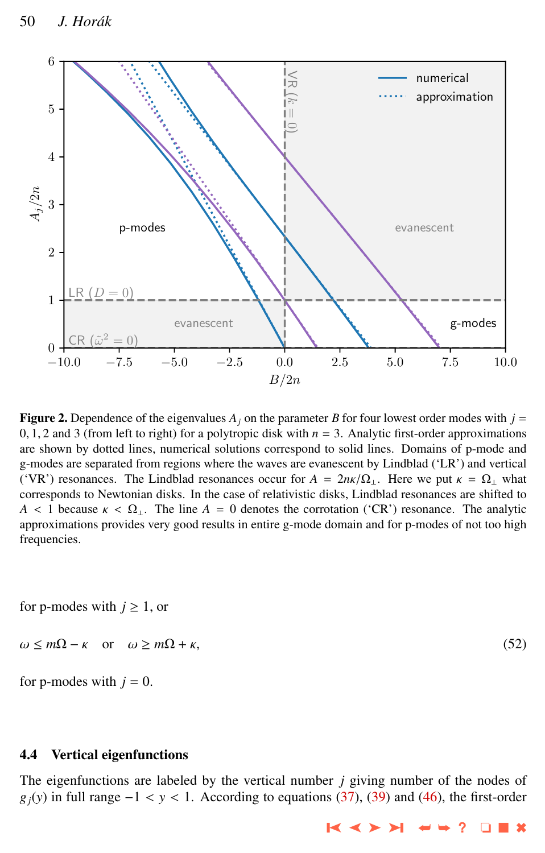<span id="page-11-0"></span>

**Figure 2.** Dependence of the eigenvalues  $A_j$  on the parameter *B* for four lowest order modes with  $j =$ 0, 1, 2 and 3 (from left to right) for a polytropic disk with  $n = 3$ . Analytic first-order approximations are shown by dotted lines, numerical solutions correspond to solid lines. Domains of p-mode and g-modes are separated from regions where the waves are evanescent by Lindblad ('LR') and vertical ('VR') resonances. The Lindblad resonances occur for  $A = 2n\kappa/\Omega_1$ . Here we put  $\kappa = \Omega_1$  what corresponds to Newtonian disks. In the case of relativistic disks, Lindblad resonances are shifted to  $A < 1$  because  $\kappa < \Omega_{\perp}$ . The line  $A = 0$  denotes the corrotation ('CR') resonance. The analytic approximations provides very good results in entire g-mode domain and for p-modes of not too high frequencies.

for p-modes with  $j \geq 1$ , or

$$
\omega \le m\Omega - \kappa \quad \text{or} \quad \omega \ge m\Omega + \kappa,\tag{52}
$$

for p-modes with  $j = 0$ .

## 4.4 Vertical eigenfunctions

The eigenfunctions are labeled by the vertical number *j* giving number of the nodes of  $g_i(y)$  in full range  $-1 < y < 1$ . According to equations [\(37\)](#page-9-0), [\(39\)](#page-9-0) and [\(46\)](#page-10-0), the first-order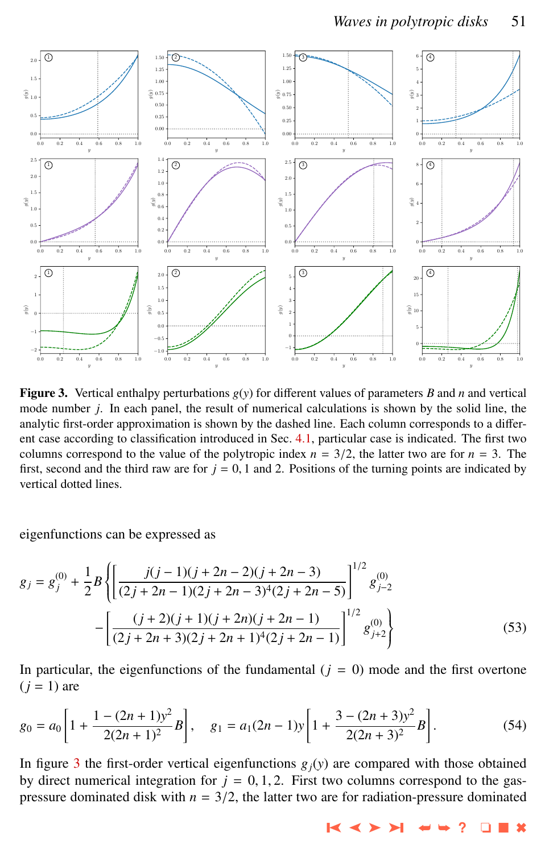

**Figure 3.** Vertical enthalpy perturbations  $g(y)$  for different values of parameters *B* and *n* and vertical mode number *j*. In each panel, the result of numerical calculations is shown by the solid line, the analytic first-order approximation is shown by the dashed line. Each column corresponds to a different case according to classification introduced in Sec. [4.1,](#page-6-0) particular case is indicated. The first two columns correspond to the value of the polytropic index  $n = 3/2$ , the latter two are for  $n = 3$ . The first, second and the third raw are for  $j = 0$ , 1 and 2. Positions of the turning points are indicated by vertical dotted lines.

eigenfunctions can be expressed as

$$
g_j = g_j^{(0)} + \frac{1}{2}B \left\{ \left[ \frac{j(j-1)(j+2n-2)(j+2n-3)}{(2j+2n-1)(2j+2n-3)^4(2j+2n-5)} \right]^{1/2} g_{j-2}^{(0)} - \left[ \frac{(j+2)(j+1)(j+2n)(j+2n-1)}{(2j+2n+3)(2j+2n+1)^4(2j+2n-1)} \right]^{1/2} g_{j+2}^{(0)} \right\}
$$
(53)

In particular, the eigenfunctions of the fundamental  $(j = 0)$  mode and the first overtone  $(i = 1)$  are

$$
g_0 = a_0 \left[ 1 + \frac{1 - (2n + 1)y^2}{2(2n + 1)^2} B \right], \quad g_1 = a_1 (2n - 1) y \left[ 1 + \frac{3 - (2n + 3)y^2}{2(2n + 3)^2} B \right].
$$
 (54)

In figure 3 the first-order vertical eigenfunctions  $g_j(y)$  are compared with those obtained by direct numerical integration for  $j = 0, 1, 2$ . First two columns correspond to the gaspressure dominated disk with  $n = 3/2$ , the latter two are for radiation-pressure dominated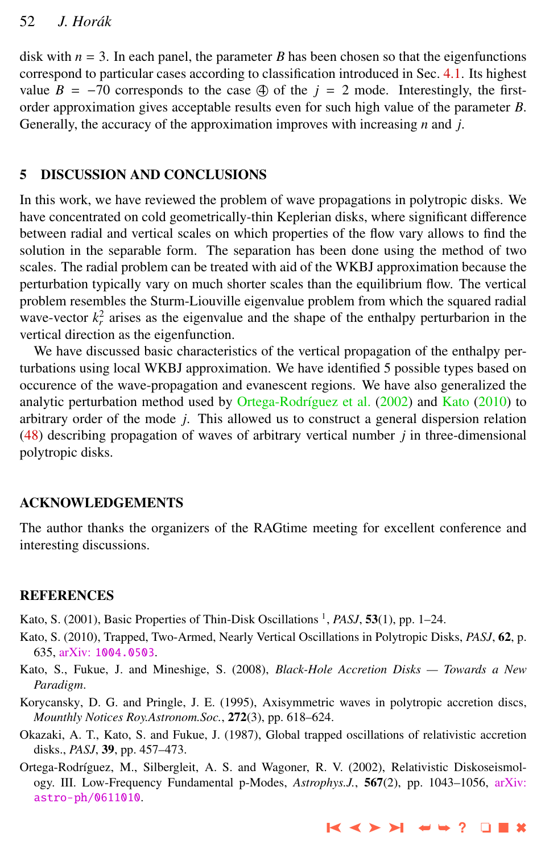<span id="page-13-0"></span>disk with  $n = 3$ . In each panel, the parameter *B* has been chosen so that the eigenfunctions correspond to particular cases according to classification introduced in Sec. [4.1.](#page-6-0) Its highest value  $B = -70$  corresponds to the case  $\textcircled{4}$  of the  $j = 2$  mode. Interestingly, the firstorder approximation gives acceptable results even for such high value of the parameter *B*. Generally, the accuracy of the approximation improves with increasing *n* and *j*.

#### 5 DISCUSSION AND CONCLUSIONS

In this work, we have reviewed the problem of wave propagations in polytropic disks. We have concentrated on cold geometrically-thin Keplerian disks, where significant difference between radial and vertical scales on which properties of the flow vary allows to find the solution in the separable form. The separation has been done using the method of two scales. The radial problem can be treated with aid of the WKBJ approximation because the perturbation typically vary on much shorter scales than the equilibrium flow. The vertical problem resembles the Sturm-Liouville eigenvalue problem from which the squared radial wave-vector  $k_r^2$  arises as the eigenvalue and the shape of the enthalpy perturbarion in the vertical direction as the eigenfunction.

We have discussed basic characteristics of the vertical propagation of the enthalpy perturbations using local WKBJ approximation. We have identified 5 possible types based on occurence of the wave-propagation and evanescent regions. We have also generalized the analytic perturbation method used by Ortega-Rodríguez et al. (2002) and Kato (2010) to arbitrary order of the mode *j*. This allowed us to construct a general dispersion relation [\(48\)](#page-10-0) describing propagation of waves of arbitrary vertical number *j* in three-dimensional polytropic disks.

#### ACKNOWLEDGEMENTS

The author thanks the organizers of the RAGtime meeting for excellent conference and interesting discussions.

#### REFERENCES

Kato, S. (2001), Basic Properties of Thin-Disk Oscillations<sup>1</sup>, *PASJ*, **53**(1), pp. 1–24.

- Kato, S. (2010), Trapped, Two-Armed, Nearly Vertical Oscillations in Polytropic Disks, *PASJ*, 62, p. 635, arXiv: [1004.0503](http://www.arxiv.org/abs/1004.0503).
- Kato, S., Fukue, J. and Mineshige, S. (2008), *Black-Hole Accretion Disks Towards a New Paradigm*.
- Korycansky, D. G. and Pringle, J. E. (1995), Axisymmetric waves in polytropic accretion discs, *Mounthly Notices Roy.Astronom.Soc.*, 272(3), pp. 618–624.
- Okazaki, A. T., Kato, S. and Fukue, J. (1987), Global trapped oscillations of relativistic accretion disks., *PASJ*, 39, pp. 457–473.
- Ortega-Rodríguez, M., Silbergleit, A. S. and Wagoner, R. V. (2002), Relativistic Diskoseismology. III. Low-Frequency Fundamental p-Modes, *Astrophys.J.*, 567(2), pp. 1043–1056, [arXiv:](http://www.arxiv.org/abs/astro-ph/0611010) [astro-ph/0611010](http://www.arxiv.org/abs/astro-ph/0611010).